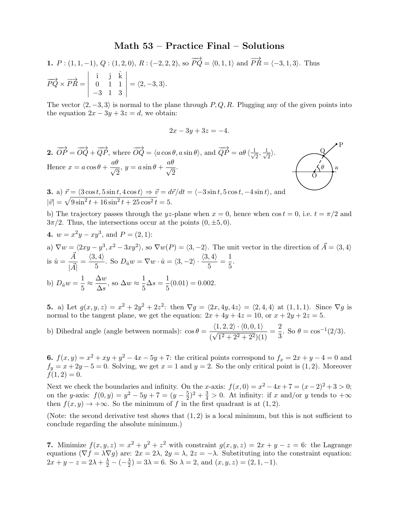## Math 53 – Practice Final – Solutions

**1.** 
$$
P : (1, 1, -1), Q : (1, 2, 0), R : (-2, 2, 2), \text{ so } \overrightarrow{PQ} = \langle 0, 1, 1 \rangle \text{ and } \overrightarrow{PR} = \langle -3, 1, 3 \rangle.
$$
 Thus  $\overrightarrow{PQ} \times \overrightarrow{PR} = \begin{vmatrix} \hat{i} & \hat{j} & \hat{k} \\ 0 & 1 & 1 \\ -3 & 1 & 3 \end{vmatrix} = \langle 2, -3, 3 \rangle.$ 

The vector  $\langle 2, -3, 3 \rangle$  is normal to the plane through P, Q, R. Plugging any of the given points into the equation  $2x - 3y + 3z = d$ , we obtain:

$$
2x - 3y + 3z = -4.
$$



3. a)  $\vec{r} = \langle 3\cos t, 5\sin t, 4\cos t \rangle \Rightarrow \vec{v} = d\vec{r}/dt = \langle -3\sin t, 5\cos t, -4\sin t \rangle$ , and  $|\vec{v}| = \sqrt{9\sin^2 t + 16\sin^2 t + 25\cos^2 t} = 5.$ 

b) The trajectory passes through the yz-plane when  $x = 0$ , hence when  $\cos t = 0$ , i.e.  $t = \pi/2$  and  $3\pi/2$ . Thus, the intersections occur at the points  $(0, \pm 5, 0)$ .

4. 
$$
w = x^2y - xy^3
$$
, and  $P = (2, 1)$ :  
\na)  $\nabla w = \langle 2xy - y^3, x^2 - 3xy^2 \rangle$ , so  $\nabla w(P) = \langle 3, -2 \rangle$ . The unit vector in the direction of  $\vec{A} = \langle 3, 4 \rangle$   
\nis  $\hat{u} = \frac{\vec{A}}{|\vec{A}|} = \frac{\langle 3, 4 \rangle}{5}$ . So  $D_{\hat{u}}w = \nabla w \cdot \hat{u} = \langle 3, -2 \rangle \cdot \frac{\langle 3, 4 \rangle}{5} = \frac{1}{5}$ .  
\nb)  $D_{\hat{u}}w = \frac{1}{5} \approx \frac{\Delta w}{\Delta s}$ , so  $\Delta w \approx \frac{1}{5} \Delta s = \frac{1}{5}(0.01) = 0.002$ .

**5.** a) Let  $g(x, y, z) = x^2 + 2y^2 + 2z^2$ : then  $\nabla g = \langle 2x, 4y, 4z \rangle = \langle 2, 4, 4 \rangle$  at  $(1, 1, 1)$ . Since  $\nabla g$  is normal to the tangent plane, we get the equation:  $2x + 4y + 4z = 10$ , or  $x + 2y + 2z = 5$ .

b) Dihedral angle (angle between normals):  $\cos \theta = \frac{\langle 1, 2, 2 \rangle \cdot \langle 0, 0, 1 \rangle}{\langle 2, 2 \rangle \cdot \langle 0, 0 \rangle}$  $\frac{\langle 1,2,2\rangle\cdot\langle 0,0,1\rangle}{(\sqrt{1^2+2^2+2^2})(1)}=\frac{2}{3}$  $\frac{2}{3}$ . So  $\theta = \cos^{-1}(2/3)$ .

6.  $f(x, y) = x^2 + xy + y^2 - 4x - 5y + 7$ : the critical points correspond to  $f_x = 2x + y - 4 = 0$  and  $f_y = x + 2y - 5 = 0$ . Solving, we get  $x = 1$  and  $y = 2$ . So the only critical point is (1, 2). Moreover  $f(1, 2) = 0.$ 

Next we check the boundaries and infinity. On the x-axis:  $f(x, 0) = x^2 - 4x + 7 = (x - 2)^2 + 3 > 0$ ; on the y-axis:  $f(0, y) = y^2 - 5y + 7 = (y - \frac{5}{2})$  $(\frac{5}{2})^2 + \frac{3}{4} > 0$ . At infinity: if x and/or y tends to  $+\infty$ then  $f(x, y) \to +\infty$ . So the minimum of f in the first quadrant is at (1, 2).

(Note: the second derivative test shows that  $(1, 2)$  is a local minimum, but this is not sufficient to conclude regarding the absolute minimum.)

7. Minimize  $f(x, y, z) = x^2 + y^2 + z^2$  with constraint  $g(x, y, z) = 2x + y - z = 6$ : the Lagrange equations ( $\nabla f = \lambda \nabla g$ ) are:  $2x = 2\lambda$ ,  $2y = \lambda$ ,  $2z = -\lambda$ . Substituting into the constraint equation:  $2x + y - z = 2\lambda + \frac{\lambda}{2} - (-\frac{\lambda}{2}) = 3\lambda = 6$ . So  $\lambda = 2$ , and  $(x, y, z) = (2, 1, -1)$ .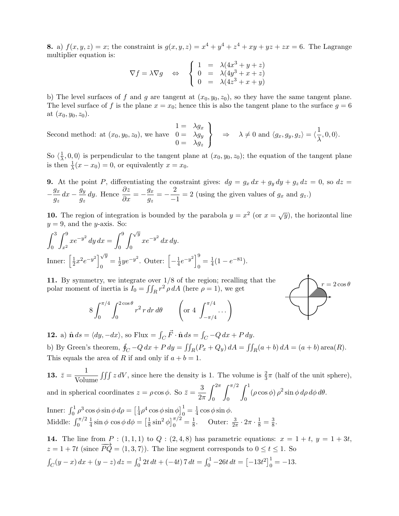**8.** a)  $f(x, y, z) = x$ ; the constraint is  $g(x, y, z) = x^4 + y^4 + z^4 + xy + yz + zx = 6$ . The Lagrange multiplier equation is:

$$
\nabla f = \lambda \nabla g \quad \Leftrightarrow \quad \begin{cases} 1 &= \lambda (4x^3 + y + z) \\ 0 &= \lambda (4y^3 + x + z) \\ 0 &= \lambda (4z^3 + x + y) \end{cases}
$$

b) The level surfaces of f and g are tangent at  $(x_0, y_0, z_0)$ , so they have the same tangent plane. The level surface of f is the plane  $x = x_0$ ; hence this is also the tangent plane to the surface  $g = 6$ at  $(x_0, y_0, z_0)$ .

Second method: at 
$$
(x_0, y_0, z_0)
$$
, we have  $\begin{cases} 1 = \lambda g_x \\ 0 = \lambda g_y \\ 0 = \lambda g_z \end{cases} \Rightarrow \lambda \neq 0$  and  $\langle g_x, g_y, g_z \rangle = \langle \frac{1}{\lambda}, 0, 0 \rangle$ .

So  $\langle \frac{1}{\lambda}$  $\frac{1}{\lambda}, 0, 0$  is perpendicular to the tangent plane at  $(x_0, y_0, z_0)$ ; the equation of the tangent plane is then  $\frac{1}{\lambda}(x-x_0)=0$ , or equivalently  $x=x_0$ .

9. At the point P, differentiating the constraint gives:  $dg = g_x dx + g_y dy + g_z dz = 0$ , so  $dz =$ −  $g_x$  $\frac{g_x}{g_z} dx - \frac{g_y}{g_z}$  $g_{z}$ dy. Hence  $\frac{\partial z}{\partial x} = -\frac{g_x}{g_z}$  $\frac{g_x}{g_z} = -\frac{2}{\Box}$  $\frac{2}{x-1}$  = 2 (using the given values of  $g_x$  and  $g_z$ .)

10. The region of integration is bounded by the parabola  $y = x^2$  (or  $x = \sqrt{y}$ ), the horizontal line  $y = 9$ , and the *y*-axis. So:

$$
\int_0^3 \int_{x^2}^9 x e^{-y^2} dy dx = \int_0^9 \int_0^{\sqrt{y}} x e^{-y^2} dx dy.
$$
  
Inner:  $\left[\frac{1}{2}x^2 e^{-y^2}\right]_0^{\sqrt{y}} = \frac{1}{2}ye^{-y^2}$ . Outer:  $\left[-\frac{1}{4}e^{-y^2}\right]_0^9 = \frac{1}{4}(1 - e^{-81}).$ 

11. By symmetry, we integrate over 1/8 of the region; recalling that the polar moment of inertia is  $I_0 = \iint_R r^2 \rho dA$  (here  $\rho = 1$ ), we get



$$
8 \int_0^{\pi/4} \int_0^{2\cos\theta} r^2 r dr d\theta \qquad \left( \text{or } 4 \int_{-\pi/4}^{\pi/4} \dots \right)
$$

**12.** a)  $\hat{\mathbf{n}} ds = \langle dy, -dx \rangle$ , so Flux =  $\int_C \vec{F} \cdot \hat{\mathbf{n}} ds = \int_C -Q dx + P dy$ . b) By Green's theorem,  $\oint_C -Q\,dx + P\,dy = \iint_R (P_x + Q_y)\,dA = \iint_R (a+b)\,dA = (a+b)\operatorname{area}(R)$ . This equals the area of R if and only if  $a + b = 1$ .

13.  $\bar{z} = \frac{1}{11}$  $\frac{1}{\text{Volume}} \iiint z dV$ , since here the density is 1. The volume is  $\frac{2}{3}\pi$  (half of the unit sphere), and in spherical coordinates  $z = \rho \cos \phi$ . So  $\bar{z} = \frac{3}{2}$  $2\pi$  $\int_0^{2\pi}$  $\overline{0}$  $\int_0^{\pi/2}$  $\overline{0}$  $\int_0^1$  $\int_0^1 (\rho \cos \phi) \rho^2 \sin \phi \, d\rho \, d\phi \, d\theta.$ Inner:  $\int_0^1 \rho^3 \cos \phi \sin \phi \, d\rho = \left[\frac{1}{4}\right]$  $\frac{1}{4}\rho^4 \cos \phi \sin \phi\Big]_0^1 = \frac{1}{4}$  $\frac{1}{4} \cos \phi \sin \phi$ . Middle:  $\int_0^{\pi/2}$ 1  $\frac{1}{4}\sin\phi\,\cos\phi\,d\phi=\left[\frac{1}{8}\right]$  $\frac{1}{8}\sin^2\phi\Big]_0^{\pi/2} = \frac{1}{8}$  $\frac{1}{8}$ . Outer:  $\frac{3}{2\pi} \cdot 2\pi \cdot \frac{1}{8} = \frac{3}{8}$  $\frac{3}{8}$ .

**14.** The line from  $P : (1,1,1)$  to  $Q : (2,4,8)$  has parametric equations:  $x = 1 + t$ ,  $y = 1 + 3t$ ,  $z = 1 + 7t$  (since  $\overrightarrow{PQ} = \langle 1, 3, 7 \rangle$ ). The line segment corresponds to  $0 \le t \le 1$ . So  $\int_C (y-x) dx + (y-z) dz = \int_0^1 2t dt + (-4t) 7 dt = \int_0^1 -26t dt = [-13t^2]_0^1 = -13.$